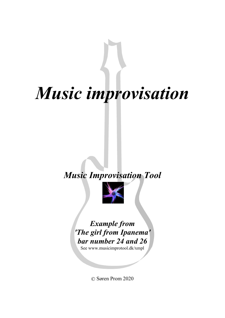# *Music improvisation*

## *Music Improvisation Tool*



### *Example from 'The girl from Ipanema' bar number 24 and 26*

See www.musicimprotool.dk/xmpl

© Søren Prom 2020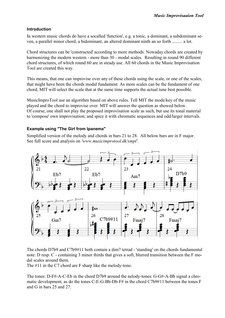#### **Introduction**

In western music chords do have a socalled 'function', e.g. a tonic, a dominant, a subdominant se ven, a parallel minor chord, a bidominant, an altered dominant ninth an so forth ......... a lot.

Chord structures can be 'constructed' according to more methods. Nowaday chords are created by harmonizing the modern western - more than 30 - modal scales. Resulting in round 90 different chord structures, of which round 60 are in steady use. All 60 chords in the Music Improvisation Tool are created this way.

This means, that one can improvise over any of these chords using the scale, or one of the scales, that might have been the chords modal fundament. As more scales can be the fundament of one chord, MIT will select the scale that at the same time supports the actual tune best possible.

MusicImproTool use an algorithm based on above rules. Tell MIT the mode/key of the music played and the chord to improvise over. MIT will answer the question as showed below. Of course, one shall not play the proposed improvisation scale as such, but use its tonal material to 'compose' own improvisation; and spice it with chromatic sequences and odd/larger intervals.

#### **Example using "The Girl from Ipanema"**

Simplified version of the melody and chords in bars 21 to 28. All below bars are in F major. See full score and analysis on *'www.musicimprotool.dk/xmpl'*.



The chords D7b9 and C7b9#11 both contain a dim7 tetrad - 'standing' on the chords fundamental note: D resp. C - containing 3 minor thirds that gives a soft, blurred transition between the F mo dal scales around them.

The #11 in the C7 chord are F sharp like the melody-tone.

The tones: D-F#-A-C-Eb in the chord D7b9 around the nelody-tones: G-G#-A-Bb signal a chro matic development, as do the tones C-E-G-Bb-Db-F# in the chord C7b9#11 between the tones F and G in bars 25 and 27.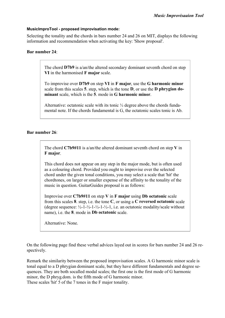#### **MusicImproTool - proposed improvisation mode:**

Selecting the tonality and the chords in bars number 24 and 26 on MIT, displays the following information and recommendation when activating the key: 'Show proposal'.

#### **Bar number 24**:

The chord **D7b9** is a/an/the altered secondary dominant seventh chord on step **VI** in the harmonised **F major** scale.

To improvise over **D7b9** on step **VI** in **F major**, use the **G harmonic minor** scale from this scales **5**. step, which is the tone **D**, or use the **D phrygian do minant** scale, which is the **5**. mode in **G harmonic minor**.

Alternative: octatonic scale with its tonic ½ degree above the chords funda mental note. If the chords fundamental is G, the octatonic scales tonic is Ab.

#### **Bar number 26**:

The chord **C7b9#11** is a/an/the altered dominant seventh chord on step **V** in **F major**.

This chord does not appear on any step in the major mode, but is often used as a colouring chord. Provided you ought to improvise over the selected chord under the given tonal conditions, you may select a scale that 'hit' the chordtones, on larger or smaller expense of the affinity to the tonality of the music in question. GuitarGuides proposal is as follows:

Improvise over **C7b9#11** on step **V** in **F major** using **Db octatonic** scale from this scales **8**. step, i.e. the tone **C**, or using a **C reversed octatonic** scale (degree sequence:  $\frac{1}{2}$ -1- $\frac{1}{2}$ -1- $\frac{1}{2}$ -1- $\frac{1}{2}$ -1, i.e. an octatonic modality/scale without name), i.e. the **8**. mode in **Db octatonic** scale.

Alternative: None.

On the following page find these verbal advices layed out in scores for bars number 24 and 26 re spectively.

Remark the similarity between the proposed improvisation scales. A G harmonic minor scale is tonal equal to a D phrygian dominant scale, but they have different fundamentals and degree se quences. They are both socalled modal scales; the first one is the first mode of G harmonic minor, the D phryg.dom. is the fifth mode of G harmonic minor. These scales 'hit' 5 of the 7 tones in the F major tonality.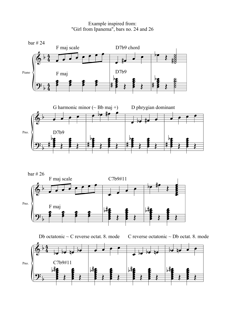Example inspired from: "Girl from Ipanema", bars no. 24 and 26